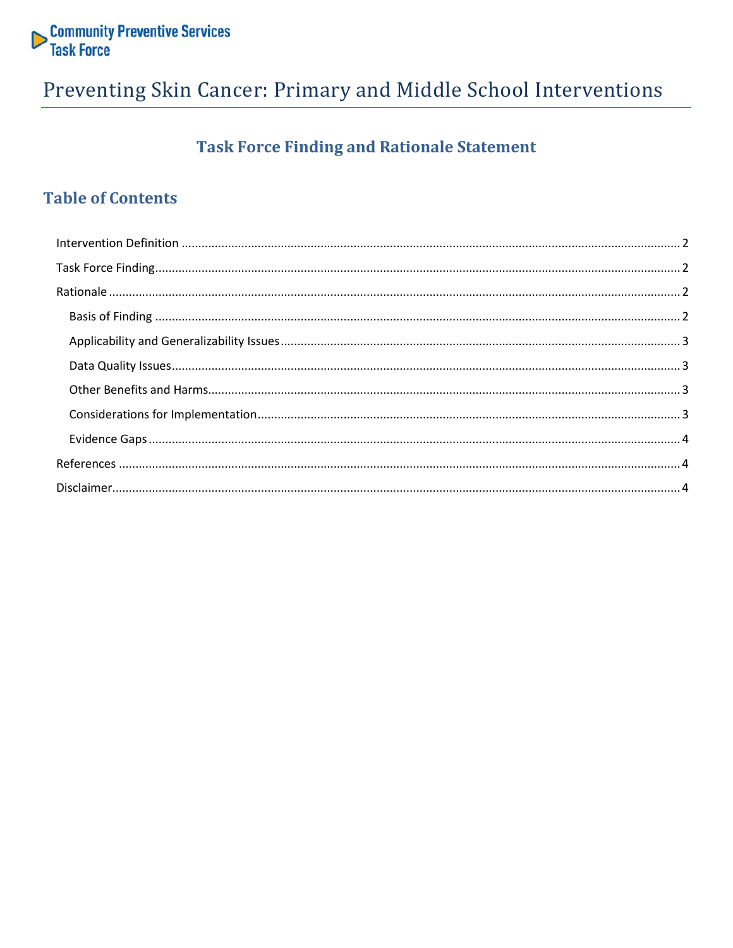

## Preventing Skin Cancer: Primary and Middle School Interventions

## **Task Force Finding and Rationale Statement**

## **Table of Contents**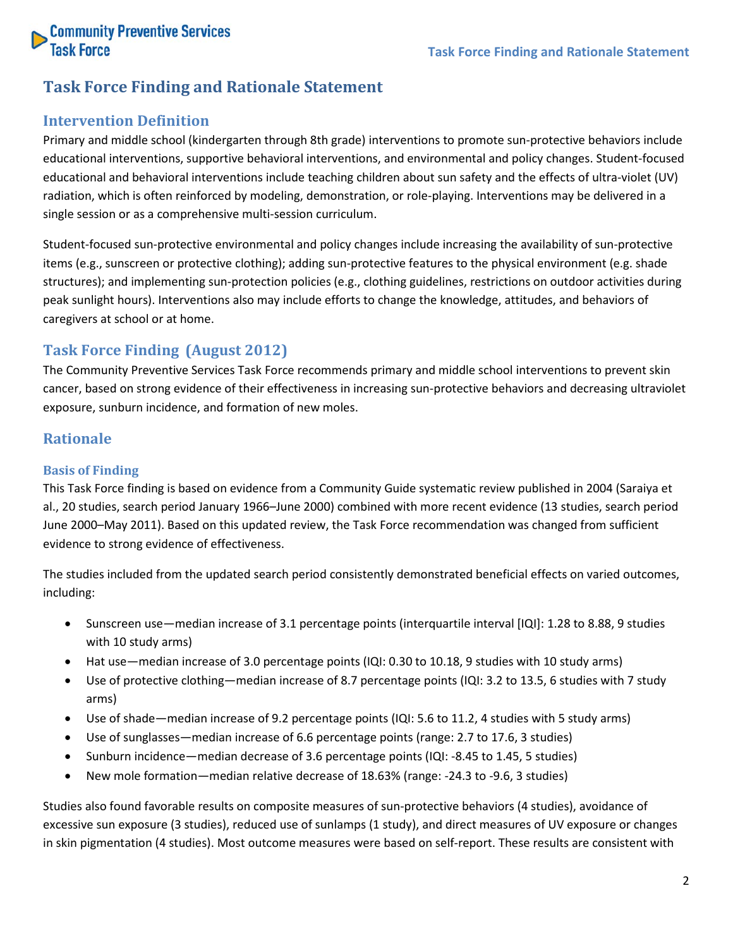

### **Task Force Finding and Rationale Statement**

#### <span id="page-1-0"></span>**Intervention Definition**

Primary and middle school (kindergarten through 8th grade) interventions to promote sun-protective behaviors include educational interventions, supportive behavioral interventions, and environmental and policy changes. Student-focused educational and behavioral interventions include teaching children about sun safety and the effects of ultra-violet (UV) radiation, which is often reinforced by modeling, demonstration, or role-playing. Interventions may be delivered in a single session or as a comprehensive multi-session curriculum.

Student-focused sun-protective environmental and policy changes include increasing the availability of sun-protective items (e.g., sunscreen or protective clothing); adding sun-protective features to the physical environment (e.g. shade structures); and implementing sun-protection policies (e.g., clothing guidelines, restrictions on outdoor activities during peak sunlight hours). Interventions also may include efforts to change the knowledge, attitudes, and behaviors of caregivers at school or at home.

#### <span id="page-1-1"></span>**Task Force Finding (August 2012)**

The Community Preventive Services Task Force recommends primary and middle school interventions to prevent skin cancer, based on strong evidence of their effectiveness in increasing sun-protective behaviors and decreasing ultraviolet exposure, sunburn incidence, and formation of new moles.

#### <span id="page-1-2"></span>**Rationale**

#### <span id="page-1-3"></span>**Basis of Finding**

This Task Force finding is based on evidence from a Community Guide systematic review published in 2004 (Saraiya et al., 20 studies, search period January 1966–June 2000) combined with more recent evidence (13 studies, search period June 2000–May 2011). Based on this updated review, the Task Force recommendation was changed from sufficient evidence to strong evidence of effectiveness.

The studies included from the updated search period consistently demonstrated beneficial effects on varied outcomes, including:

- Sunscreen use—median increase of 3.1 percentage points (interquartile interval [IQI]: 1.28 to 8.88, 9 studies with 10 study arms)
- Hat use—median increase of 3.0 percentage points (IQI: 0.30 to 10.18, 9 studies with 10 study arms)
- Use of protective clothing—median increase of 8.7 percentage points (IQI: 3.2 to 13.5, 6 studies with 7 study arms)
- Use of shade—median increase of 9.2 percentage points (IQI: 5.6 to 11.2, 4 studies with 5 study arms)
- Use of sunglasses—median increase of 6.6 percentage points (range: 2.7 to 17.6, 3 studies)
- Sunburn incidence—median decrease of 3.6 percentage points (IQI: -8.45 to 1.45, 5 studies)
- New mole formation—median relative decrease of 18.63% (range: -24.3 to -9.6, 3 studies)

Studies also found favorable results on composite measures of sun-protective behaviors (4 studies), avoidance of excessive sun exposure (3 studies), reduced use of sunlamps (1 study), and direct measures of UV exposure or changes in skin pigmentation (4 studies). Most outcome measures were based on self-report. These results are consistent with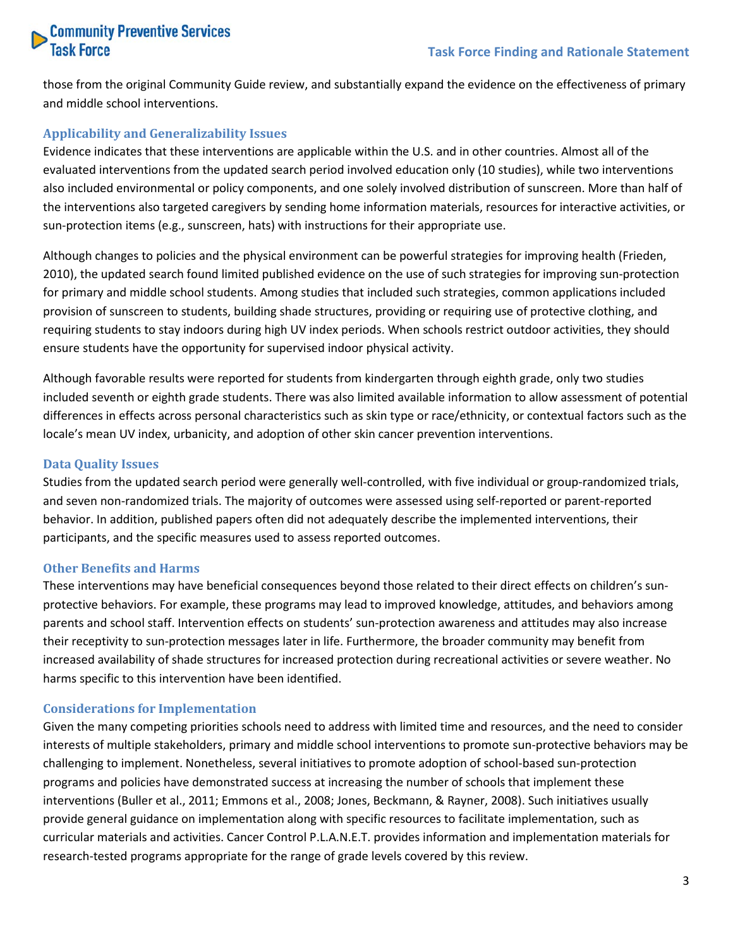# **Community Preventive Services**<br>Task Force

those from the original Community Guide review, and substantially expand the evidence on the effectiveness of primary and middle school interventions.

#### <span id="page-2-0"></span>**Applicability and Generalizability Issues**

Evidence indicates that these interventions are applicable within the U.S. and in other countries. Almost all of the evaluated interventions from the updated search period involved education only (10 studies), while two interventions also included environmental or policy components, and one solely involved distribution of sunscreen. More than half of the interventions also targeted caregivers by sending home information materials, resources for interactive activities, or sun-protection items (e.g., sunscreen, hats) with instructions for their appropriate use.

Although changes to policies and the physical environment can be powerful strategies for improving health (Frieden, 2010), the updated search found limited published evidence on the use of such strategies for improving sun-protection for primary and middle school students. Among studies that included such strategies, common applications included provision of sunscreen to students, building shade structures, providing or requiring use of protective clothing, and requiring students to stay indoors during high UV index periods. When schools restrict outdoor activities, they should ensure students have the opportunity for supervised indoor physical activity.

Although favorable results were reported for students from kindergarten through eighth grade, only two studies included seventh or eighth grade students. There was also limited available information to allow assessment of potential differences in effects across personal characteristics such as skin type or race/ethnicity, or contextual factors such as the locale's mean UV index, urbanicity, and adoption of other skin cancer prevention interventions.

#### <span id="page-2-1"></span>**Data Quality Issues**

Studies from the updated search period were generally well-controlled, with five individual or group-randomized trials, and seven non-randomized trials. The majority of outcomes were assessed using self-reported or parent-reported behavior. In addition, published papers often did not adequately describe the implemented interventions, their participants, and the specific measures used to assess reported outcomes.

#### <span id="page-2-2"></span>**Other Benefits and Harms**

These interventions may have beneficial consequences beyond those related to their direct effects on children's sunprotective behaviors. For example, these programs may lead to improved knowledge, attitudes, and behaviors among parents and school staff. Intervention effects on students' sun-protection awareness and attitudes may also increase their receptivity to sun-protection messages later in life. Furthermore, the broader community may benefit from increased availability of shade structures for increased protection during recreational activities or severe weather. No harms specific to this intervention have been identified.

#### <span id="page-2-3"></span>**Considerations for Implementation**

Given the many competing priorities schools need to address with limited time and resources, and the need to consider interests of multiple stakeholders, primary and middle school interventions to promote sun-protective behaviors may be challenging to implement. Nonetheless, several initiatives to promote adoption of school-based sun-protection programs and policies have demonstrated success at increasing the number of schools that implement these interventions (Buller et al., 2011; Emmons et al., 2008; Jones, Beckmann, & Rayner, 2008). Such initiatives usually provide general guidance on implementation along with specific resources to facilitate implementation, such as curricular materials and activities. Cancer Control P.L.A.N.E.T. provides information and implementation materials for research-tested programs appropriate for the range of grade levels covered by this review.